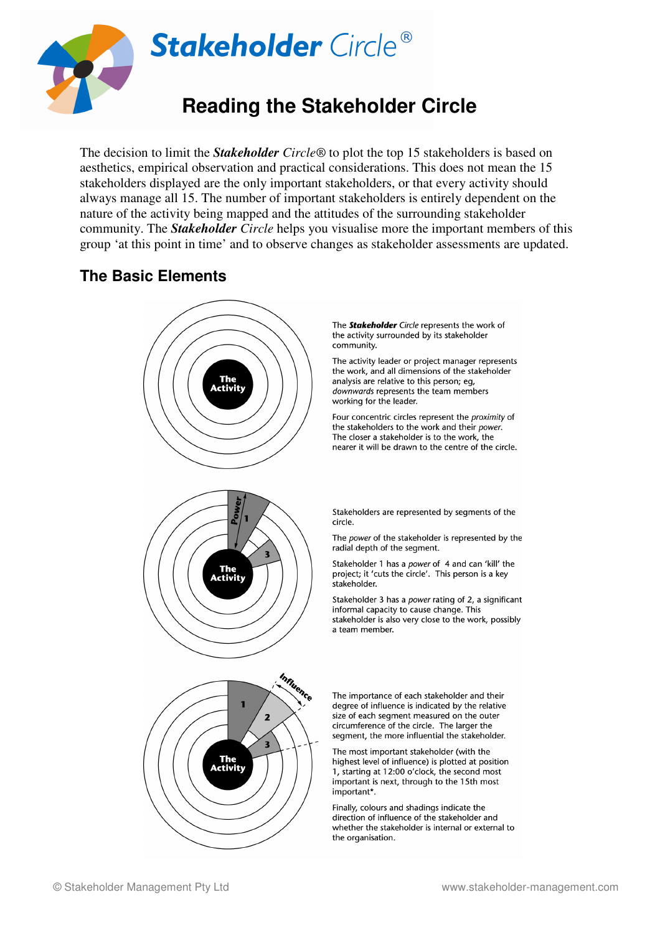

The decision to limit the *Stakeholder Circle®* to plot the top 15 stakeholders is based on aesthetics, empirical observation and practical considerations. This does not mean the 15 stakeholders displayed are the only important stakeholders, or that every activity should always manage all 15. The number of important stakeholders is entirely dependent on the nature of the activity being mapped and the attitudes of the surrounding stakeholder community. The *Stakeholder Circle* helps you visualise more the important members of this group 'at this point in time' and to observe changes as stakeholder assessments are updated.

# **The Basic Elements**



The **Stakeholder** Circle represents the work of the activity surrounded by its stakeholder

The activity leader or project manager represents the work, and all dimensions of the stakeholder analysis are relative to this person; eg, downwards represents the team members working for the leader.

Four concentric circles represent the proximity of the stakeholders to the work and their power. The closer a stakeholder is to the work, the nearer it will be drawn to the centre of the circle.

Stakeholders are represented by segments of the

The power of the stakeholder is represented by the radial depth of the segment.

Stakeholder 1 has a power of 4 and can 'kill' the project; it 'cuts the circle'. This person is a key

Stakeholder 3 has a power rating of 2, a significant informal capacity to cause change. This stakeholder is also very close to the work, possibly a team member.

The importance of each stakeholder and their degree of influence is indicated by the relative size of each segment measured on the outer circumference of the circle. The larger the segment, the more influential the stakeholder.

The most important stakeholder (with the highest level of influence) is plotted at position 1, starting at 12:00 o'clock, the second most important is next, through to the 15th most

Finally, colours and shadings indicate the direction of influence of the stakeholder and whether the stakeholder is internal or external to the organisation.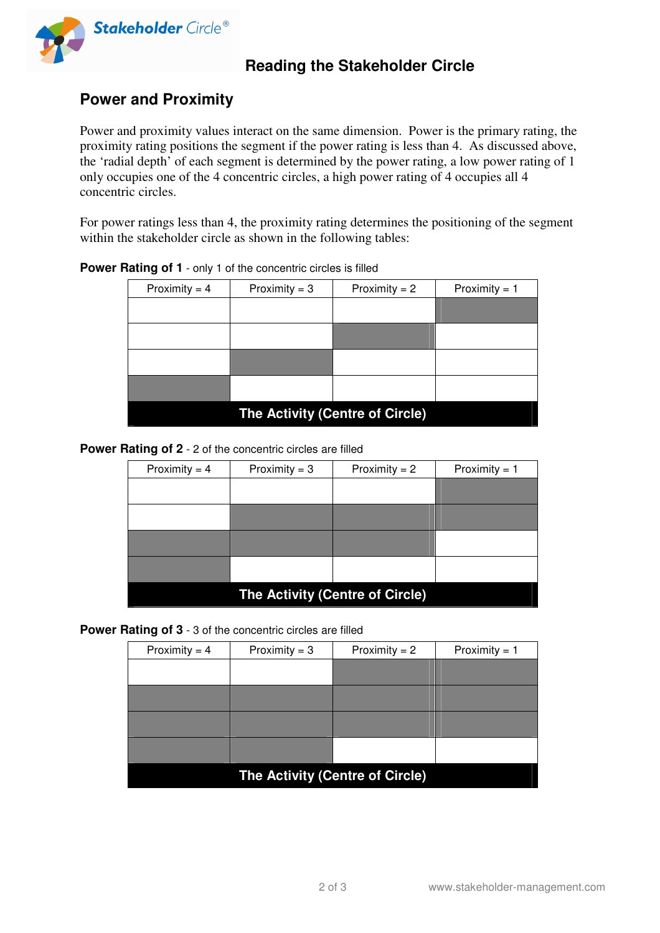

## **Reading the Stakeholder Circle**

### **Power and Proximity**

Power and proximity values interact on the same dimension. Power is the primary rating, the proximity rating positions the segment if the power rating is less than 4. As discussed above, the 'radial depth' of each segment is determined by the power rating, a low power rating of 1 only occupies one of the 4 concentric circles, a high power rating of 4 occupies all 4 concentric circles.

For power ratings less than 4, the proximity rating determines the positioning of the segment within the stakeholder circle as shown in the following tables:

| Proximity = $4$                 | Proximity = $3$ | Proximity $= 2$ | Proximity = $1$ |  |
|---------------------------------|-----------------|-----------------|-----------------|--|
|                                 |                 |                 |                 |  |
|                                 |                 |                 |                 |  |
|                                 |                 |                 |                 |  |
|                                 |                 |                 |                 |  |
|                                 |                 |                 |                 |  |
|                                 |                 |                 |                 |  |
|                                 |                 |                 |                 |  |
|                                 |                 |                 |                 |  |
| The Activity (Centre of Circle) |                 |                 |                 |  |

### **Power Rating of 1** - only 1 of the concentric circles is filled

#### **Power Rating of 2** - 2 of the concentric circles are filled

| Proximity = $3$ | Proximity $= 2$ | Proximity = $1$                 |  |  |
|-----------------|-----------------|---------------------------------|--|--|
|                 |                 |                                 |  |  |
|                 |                 |                                 |  |  |
|                 |                 |                                 |  |  |
|                 |                 |                                 |  |  |
|                 |                 |                                 |  |  |
|                 |                 |                                 |  |  |
|                 |                 |                                 |  |  |
|                 |                 |                                 |  |  |
|                 |                 |                                 |  |  |
|                 |                 | The Activity (Centre of Circle) |  |  |

**Power Rating of 3** - 3 of the concentric circles are filled

| Proximity = $4$                 | Proximity = $3$ | Proximity $= 2$ | Proximity = $1$ |  |  |
|---------------------------------|-----------------|-----------------|-----------------|--|--|
|                                 |                 |                 |                 |  |  |
|                                 |                 |                 |                 |  |  |
|                                 |                 |                 |                 |  |  |
|                                 |                 |                 |                 |  |  |
| The Activity (Centre of Circle) |                 |                 |                 |  |  |